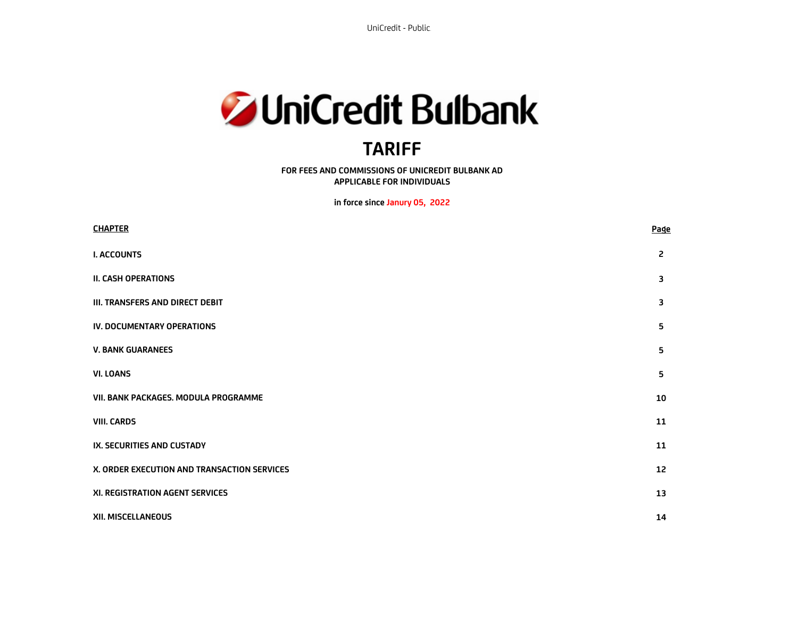UniCredit - Public#



# **TARIFF**

**FOR FEES AND COMMISSIONS OF UNICREDIT BULBANK AD APPLICABLE FOR INDIVIDUALS** 

**in force since Janury 05, 2022** 

| <b>CHAPTER</b>                              | <b>Page</b> |
|---------------------------------------------|-------------|
| <b>I. ACCOUNTS</b>                          | 2           |
| <b>II. CASH OPERATIONS</b>                  | 3           |
| III. TRANSFERS AND DIRECT DEBIT             | 3           |
| IV. DOCUMENTARY OPERATIONS                  | 5           |
| <b>V. BANK GUARANEES</b>                    | 5           |
| <b>VI. LOANS</b>                            | 5           |
| VII. BANK PACKAGES. MODULA PROGRAMME        | 10          |
| <b>VIII. CARDS</b>                          | 11          |
| IX. SECURITIES AND CUSTADY                  | 11          |
| X. ORDER EXECUTION AND TRANSACTION SERVICES | 12          |
| XI. REGISTRATION AGENT SERVICES             | 13          |
| XII. MISCELLANEOUS                          | 14          |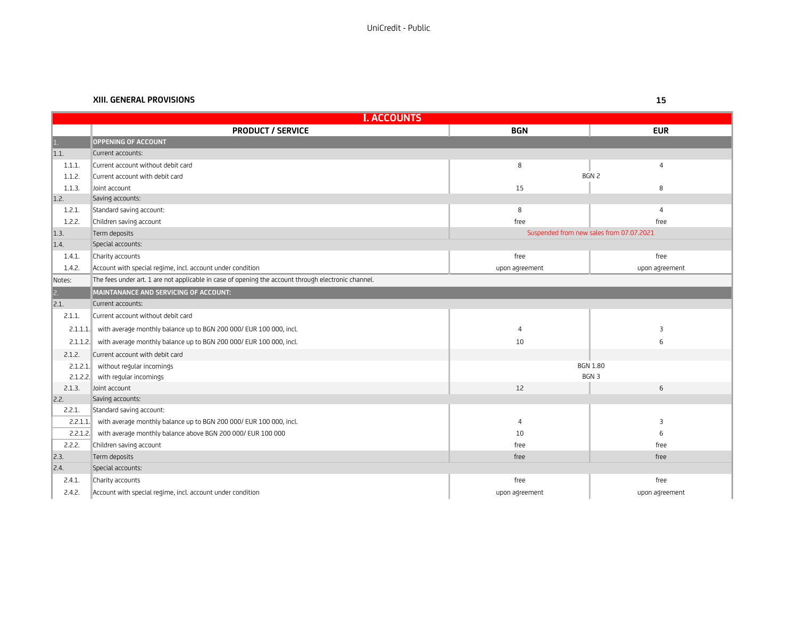#### **XIII. GENERAL PROVISIONS**

| <b>I. ACCOUNTS</b> |                                                                                                     |                |                                          |
|--------------------|-----------------------------------------------------------------------------------------------------|----------------|------------------------------------------|
|                    | <b>PRODUCT / SERVICE</b>                                                                            | <b>BGN</b>     | <b>EUR</b>                               |
|                    | <b>OPPENING OF ACCOUNT</b>                                                                          |                |                                          |
| 1.1.               | Current accounts:                                                                                   |                |                                          |
| 1.1.1.             | Current account without debit card                                                                  | 8              | 4                                        |
| 1.1.2.             | Current account with debit card                                                                     |                | BGN 2                                    |
| 1.1.3.             | Joint account                                                                                       | 15             | 8                                        |
| 1.2.               | Saving accounts:                                                                                    |                |                                          |
| 1.2.1.             | Standard saving account:                                                                            | 8              | $\overline{a}$                           |
| 1.2.2.             | Children saving account                                                                             | free           | free                                     |
| 1.3.               | Term deposits                                                                                       |                | Suspended from new sales from 07.07.2021 |
| 1.4.               | Special accounts:                                                                                   |                |                                          |
| 1.4.1.             | Charity accounts                                                                                    | free           | free                                     |
| 1.4.2.             | Account with special regime, incl. account under condition                                          | upon agreement | upon agreement                           |
| Notes:             | The fees under art. 1 are not applicable in case of opening the account through electronic channel. |                |                                          |
| $\overline{c}$ .   | MAINTANANCE AND SERVICING OF ACCOUNT:                                                               |                |                                          |
| 2.1.               | Current accounts:                                                                                   |                |                                          |
| 2.1.1.             | Current account without debit card                                                                  |                |                                          |
|                    | 2.1.1.1. with average monthly balance up to BGN 200 000/ EUR 100 000, incl.                         | $\overline{4}$ | 3                                        |
|                    | 2.1.1.2. with average monthly balance up to BGN 200 000/ EUR 100 000, incl.                         | 10             | 6                                        |
| 2.1.2.             | Current account with debit card                                                                     |                |                                          |
| 2.1.2.1            | without regular incomings                                                                           |                | <b>BGN 1.80</b>                          |
| 2.1.2.2            | with regular incomings                                                                              |                | BGN 3                                    |
| 2.1.3.             | Joint account                                                                                       | 12             | 6                                        |
| 2.2.               | Saving accounts:                                                                                    |                |                                          |
| 2.2.1.             | Standard saving account:                                                                            |                |                                          |
| 2.2.1.1            | with average monthly balance up to BGN 200 000/ EUR 100 000, incl.                                  | 4              | 3                                        |
| 2.2.1.2.           | with average monthly balance above BGN 200 000/ EUR 100 000                                         | 10             | 6                                        |
| 2.2.2.             | Children saving account                                                                             | free           | free                                     |
| 2.3.               | Term deposits                                                                                       | free           | free                                     |
| 2.4.               | Special accounts:                                                                                   |                |                                          |
| 2.4.1.             | Charity accounts                                                                                    | free           | free                                     |
| 2.4.2.             | Account with special regime, incl. account under condition                                          | upon agreement | upon agreement                           |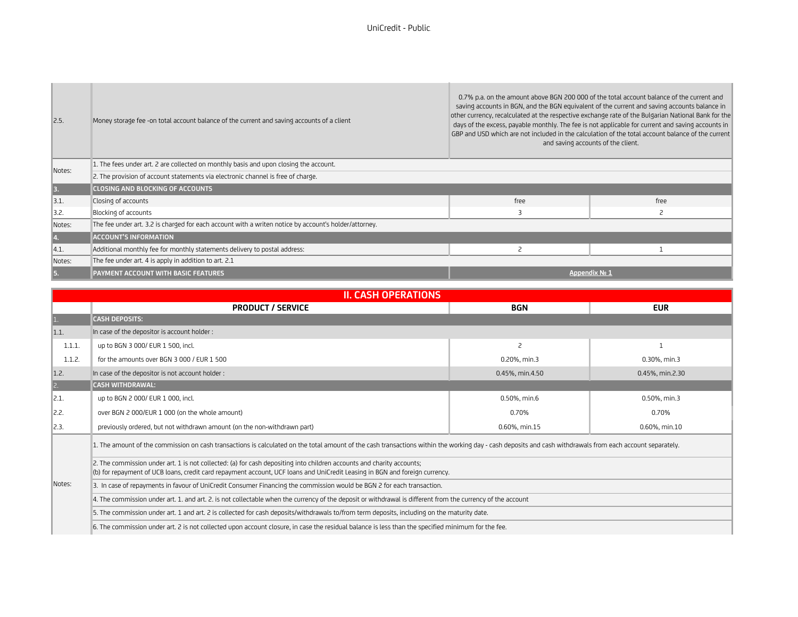| 2.5.             | Money storage fee -on total account balance of the current and saving accounts of a client            |               | 0.7% p.a. on the amount above BGN 200 000 of the total account balance of the current and<br>saving accounts in BGN, and the BGN equivalent of the current and saving accounts balance in<br>other currency, recalculated at the respective exchange rate of the Bulgarian National Bank for the<br>days of the excess, payable monthly. The fee is not applicable for current and saving accounts in<br>GBP and USD which are not included in the calculation of the total account balance of the current<br>and saving accounts of the client. |
|------------------|-------------------------------------------------------------------------------------------------------|---------------|--------------------------------------------------------------------------------------------------------------------------------------------------------------------------------------------------------------------------------------------------------------------------------------------------------------------------------------------------------------------------------------------------------------------------------------------------------------------------------------------------------------------------------------------------|
| Notes:           | 1. The fees under art. 2 are collected on monthly basis and upon closing the account.                 |               |                                                                                                                                                                                                                                                                                                                                                                                                                                                                                                                                                  |
|                  | 2. The provision of account statements via electronic channel is free of charge.                      |               |                                                                                                                                                                                                                                                                                                                                                                                                                                                                                                                                                  |
| 3.               | <b>CLOSING AND BLOCKING OF ACCOUNTS</b>                                                               |               |                                                                                                                                                                                                                                                                                                                                                                                                                                                                                                                                                  |
| 3.1.             | Closing of accounts                                                                                   | free          | free                                                                                                                                                                                                                                                                                                                                                                                                                                                                                                                                             |
| $\parallel$ 3.2. | Blocking of accounts                                                                                  |               |                                                                                                                                                                                                                                                                                                                                                                                                                                                                                                                                                  |
| Notes:           | The fee under art. 3.2 is charged for each account with a writen notice by account's holder/attorney. |               |                                                                                                                                                                                                                                                                                                                                                                                                                                                                                                                                                  |
| 14.              | <b>ACCOUNT'S INFORMATION</b>                                                                          |               |                                                                                                                                                                                                                                                                                                                                                                                                                                                                                                                                                  |
| 4.1.             | Additional monthly fee for monthly statements delivery to postal address:                             |               |                                                                                                                                                                                                                                                                                                                                                                                                                                                                                                                                                  |
| Notes:           | The fee under art. 4 is apply in addition to art. 2.1                                                 |               |                                                                                                                                                                                                                                                                                                                                                                                                                                                                                                                                                  |
| 15.              | PAYMENT ACCOUNT WITH BASIC FEATURES                                                                   | Appendix Nº 1 |                                                                                                                                                                                                                                                                                                                                                                                                                                                                                                                                                  |

| <b>II. CASH OPERATIONS</b> |                                                                                                                                                                                                                                                      |                 |                 |
|----------------------------|------------------------------------------------------------------------------------------------------------------------------------------------------------------------------------------------------------------------------------------------------|-----------------|-----------------|
|                            | <b>PRODUCT / SERVICE</b>                                                                                                                                                                                                                             | <b>BGN</b>      | <b>EUR</b>      |
| 1.                         | <b>CASH DEPOSITS:</b>                                                                                                                                                                                                                                |                 |                 |
| 1.1                        | In case of the depositor is account holder:                                                                                                                                                                                                          |                 |                 |
| 1.1.1.                     | up to BGN 3 000/ EUR 1 500, incl.                                                                                                                                                                                                                    | 2               |                 |
| 1.1.2.                     | for the amounts over BGN 3 000 / EUR 1 500                                                                                                                                                                                                           | 0.20%, min.3    | 0.30%, min.3    |
| $\vert$ 1.2.               | In case of the depositor is not account holder:                                                                                                                                                                                                      | 0.45%, min.4.50 | 0.45%, min.2.30 |
| $\boxed{2}$                | <b>CASH WITHDRAWAL:</b>                                                                                                                                                                                                                              |                 |                 |
| $\parallel$ 2.1.           | up to BGN 2 000/ EUR 1 000, incl.                                                                                                                                                                                                                    | 0.50%, min.6    | 0.50%, min.3    |
| 2.2.                       | over BGN 2 000/EUR 1 000 (on the whole amount)                                                                                                                                                                                                       | 0.70%           | 0.70%           |
| $\parallel$ 2.3.           | previously ordered, but not withdrawn amount (on the non-withdrawn part)                                                                                                                                                                             | 0.60%, min.15   | 0.60%, min.10   |
|                            | 1. The amount of the commission on cash transactions is calculated on the total amount of the cash transactions within the working day - cash deposits and cash withdrawals from each account separately.                                            |                 |                 |
|                            | 2. The commission under art. 1 is not collected: (a) for cash depositing into children accounts and charity accounts;<br>(b) for repayment of UCB loans, credit card repayment account, UCF loans and UniCredit Leasing in BGN and foreign currency. |                 |                 |
| Notes:                     | 3. In case of repayments in favour of UniCredit Consumer Financing the commission would be BGN 2 for each transaction.                                                                                                                               |                 |                 |
|                            | 4. The commission under art, 1, and art, 2, is not collectable when the currency of the deposit or withdrawal is different from the currency of the account                                                                                          |                 |                 |
|                            | 5. The commission under art. 1 and art. 2 is collected for cash deposits/withdrawals to/from term deposits, including on the maturity date.                                                                                                          |                 |                 |
|                            | 6. The commission under art. 2 is not collected upon account closure, in case the residual balance is less than the specified minimum for the fee.                                                                                                   |                 |                 |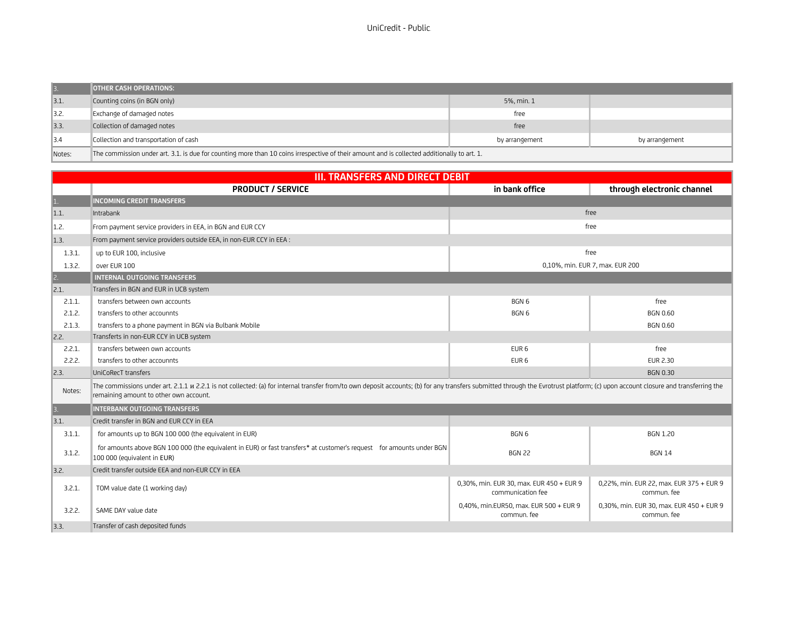| <b>B.</b>        | <b>JOTHER CASH OPERATIONS:</b>                                                                                                              |                |                |
|------------------|---------------------------------------------------------------------------------------------------------------------------------------------|----------------|----------------|
| $\vert$ 3.1.     | Counting coins (in BGN only)                                                                                                                | 5%, min. 1     |                |
| $\parallel$ 3.2. | Exchange of damaged notes                                                                                                                   | free           |                |
| 3.3.             | Collection of damaged notes                                                                                                                 | free           |                |
| $\vert$ 3.4      | Collection and transportation of cash                                                                                                       | by arrangement | by arrangement |
| Notes:           | The commission under art. 3.1. is due for counting more than 10 coins irrespective of their amount and is collected additionally to art. 1. |                |                |

|                  | <b>III. TRANSFERS AND DIRECT DEBIT</b>                                                                                                                                                                                                                                   |                                                               |                                                         |  |
|------------------|--------------------------------------------------------------------------------------------------------------------------------------------------------------------------------------------------------------------------------------------------------------------------|---------------------------------------------------------------|---------------------------------------------------------|--|
|                  | <b>PRODUCT / SERVICE</b>                                                                                                                                                                                                                                                 | in bank office                                                | through electronic channel                              |  |
| 1.               | <b>INCOMING CREDIT TRANSFERS</b>                                                                                                                                                                                                                                         |                                                               |                                                         |  |
| 1.1.             | Intrabank                                                                                                                                                                                                                                                                |                                                               | free                                                    |  |
| 1.2.             | From payment service providers in EEA, in BGN and EUR CCY                                                                                                                                                                                                                |                                                               | free                                                    |  |
| 1.3.             | From payment service providers outside EEA, in non-EUR CCY in EEA :                                                                                                                                                                                                      |                                                               |                                                         |  |
| 1.3.1.           | up to EUR 100, inclusive                                                                                                                                                                                                                                                 |                                                               | free                                                    |  |
| 1.3.2.           | over EUR 100                                                                                                                                                                                                                                                             |                                                               | 0,10%, min. EUR 7, max. EUR 200                         |  |
| $\overline{c}$ . | <b>INTERNAL OUTGOING TRANSFERS</b>                                                                                                                                                                                                                                       |                                                               |                                                         |  |
| 2.1.             | Transfers in BGN and EUR in UCB system                                                                                                                                                                                                                                   |                                                               |                                                         |  |
| 2.1.1.           | transfers between own accounts                                                                                                                                                                                                                                           | BGN 6                                                         | free                                                    |  |
| 2.1.2.           | transfers to other accounnts                                                                                                                                                                                                                                             | BGN 6                                                         | <b>BGN 0.60</b>                                         |  |
| 2.1.3.           | transfers to a phone payment in BGN via Bulbank Mobile                                                                                                                                                                                                                   |                                                               | <b>BGN 0.60</b>                                         |  |
| 2.2.             | Transferts in non-EUR CCY in UCB system                                                                                                                                                                                                                                  |                                                               |                                                         |  |
| 2.2.1.           | transfers between own accounts                                                                                                                                                                                                                                           | EUR <sub>6</sub>                                              | free                                                    |  |
| 2.2.2.           | transfers to other accounnts                                                                                                                                                                                                                                             | EUR <sub>6</sub>                                              | EUR 2.30                                                |  |
| 2.3.             | UniCoRecT transfers                                                                                                                                                                                                                                                      |                                                               | <b>BGN 0.30</b>                                         |  |
| Notes:           | The commissions under art. 2.1.1 u 2.2.1 is not collected: (a) for internal transfer from/to own deposit accounts; (b) for any transfers submitted through the Evrotrust platform; (c) upon account closure and transferring t<br>remaining amount to other own account. |                                                               |                                                         |  |
| 3.               | <b>INTERBANK OUTGOING TRANSFERS</b>                                                                                                                                                                                                                                      |                                                               |                                                         |  |
| 3.1.             | Credit transfer in BGN and EUR CCY in EEA                                                                                                                                                                                                                                |                                                               |                                                         |  |
| 3.1.1.           | for amounts up to BGN 100 000 (the equivalent in EUR)                                                                                                                                                                                                                    | BGN <sub>6</sub>                                              | <b>BGN 1.20</b>                                         |  |
| 3.1.2.           | for amounts above BGN 100 000 (the equivalent in EUR) or fast transfers* at customer's request for amounts under BGN<br>100 000 (equivalent in EUR)                                                                                                                      | <b>BGN 22</b>                                                 | <b>BGN 14</b>                                           |  |
| 3.2.             | Credit transfer outside EEA and non-EUR CCY in EEA                                                                                                                                                                                                                       |                                                               |                                                         |  |
| 3.2.1.           | TOM value date (1 working day)                                                                                                                                                                                                                                           | 0,30%, min. EUR 30, max. EUR 450 + EUR 9<br>communication fee | 0,22%, min. EUR 22, max. EUR 375 + EUR 9<br>commun. fee |  |
| 3.2.2.           | SAME DAY value date                                                                                                                                                                                                                                                      | 0,40%, min.EUR50, max. EUR 500 + EUR 9<br>commun. fee         | 0,30%, min. EUR 30, max. EUR 450 + EUR 9<br>commun. fee |  |
| 3.3.             | Transfer of cash deposited funds                                                                                                                                                                                                                                         |                                                               |                                                         |  |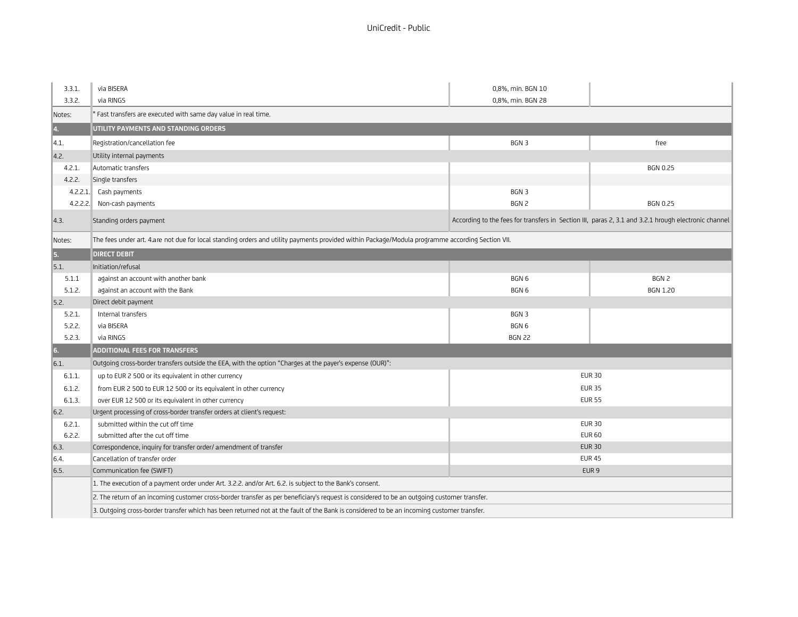| 3.3.1.       | via BISERA                                                                                                                                       | 0,8%, min. BGN 10 |                                                                                                      |
|--------------|--------------------------------------------------------------------------------------------------------------------------------------------------|-------------------|------------------------------------------------------------------------------------------------------|
| 3.3.2.       | via RINGS                                                                                                                                        | 0,8%, min. BGN 28 |                                                                                                      |
| Notes:       | Fast transfers are executed with same day value in real time.                                                                                    |                   |                                                                                                      |
| 4.           | UTILITY PAYMENTS AND STANDING ORDERS                                                                                                             |                   |                                                                                                      |
| 4.1.         | Registration/cancellation fee                                                                                                                    | BGN 3             | free                                                                                                 |
| 4.2.         | Utility internal payments                                                                                                                        |                   |                                                                                                      |
| 4.2.1.       | Automatic transfers                                                                                                                              |                   | <b>BGN 0.25</b>                                                                                      |
| 4.2.2.       | Single transfers                                                                                                                                 |                   |                                                                                                      |
| 4.2.2.1      | Cash payments                                                                                                                                    | BGN 3             |                                                                                                      |
| 4.2.2.2.     | Non-cash payments                                                                                                                                | BGN 2             | <b>BGN 0.25</b>                                                                                      |
| 4.3.         | Standing orders payment                                                                                                                          |                   | According to the fees for transfers in Section III, paras 2, 3.1 and 3.2.1 hrough electronic channel |
| Notes:       | The fees under art. 4.are not due for local standing orders and utility payments provided within Package/Modula programme according Section VII. |                   |                                                                                                      |
| 5.           | <b>DIRECT DEBIT</b>                                                                                                                              |                   |                                                                                                      |
| $\vert$ 5.1. | Initiation/refusal                                                                                                                               |                   |                                                                                                      |
| 5.1.1        | against an account with another bank                                                                                                             | BGN 6             | BGN 2                                                                                                |
| 5.1.2.       | against an account with the Bank                                                                                                                 | BGN <sub>6</sub>  | <b>BGN 1.20</b>                                                                                      |
| 5.2.         | Direct debit payment                                                                                                                             |                   |                                                                                                      |
| 5.2.1.       | Internal transfers                                                                                                                               | BGN 3             |                                                                                                      |
| 5.2.2.       | via BISERA                                                                                                                                       | BGN <sub>6</sub>  |                                                                                                      |
| 5.2.3.       | via RINGS                                                                                                                                        | <b>BGN 22</b>     |                                                                                                      |
| $\vert$ 6.   | ADDITIONAL FEES FOR TRANSFERS                                                                                                                    |                   |                                                                                                      |
| 6.1.         | Outgoing cross-border transfers outside the EEA, with the option "Charges at the payer's expense (OUR)":                                         |                   |                                                                                                      |
| 6.1.1.       | up to EUR 2 500 or its equivalent in other currency                                                                                              |                   | <b>EUR 30</b>                                                                                        |
| 6.1.2.       | from EUR 2 500 to EUR 12 500 or its equivalent in other currency                                                                                 |                   | <b>EUR 35</b>                                                                                        |
| 6.1.3.       | over EUR 12 500 or its equivalent in other currency                                                                                              |                   | <b>EUR 55</b>                                                                                        |
| 6.2.         | Urgent processing of cross-border transfer orders at client's request:                                                                           |                   |                                                                                                      |
| 6.2.1.       | submitted within the cut off time                                                                                                                |                   | <b>EUR 30</b>                                                                                        |
| 6.2.2.       | submitted after the cut off time                                                                                                                 | <b>EUR 60</b>     |                                                                                                      |
| 6.3.         | Correspondence, inquiry for transfer order/ amendment of transfer                                                                                | <b>EUR 30</b>     |                                                                                                      |
| 6.4.         | Cancellation of transfer order                                                                                                                   |                   | <b>EUR 45</b>                                                                                        |
| 6.5.         | Communication fee (SWIFT)                                                                                                                        |                   | EUR <sub>9</sub>                                                                                     |
|              | 1. The execution of a payment order under Art. 3.2.2. and/or Art. 6.2. is subject to the Bank's consent.                                         |                   |                                                                                                      |
|              | 2. The return of an incoming customer cross-border transfer as per beneficiary's request is considered to be an outgoing customer transfer.      |                   |                                                                                                      |
|              | 3. Outgoing cross-border transfer which has been returned not at the fault of the Bank is considered to be an incoming customer transfer.        |                   |                                                                                                      |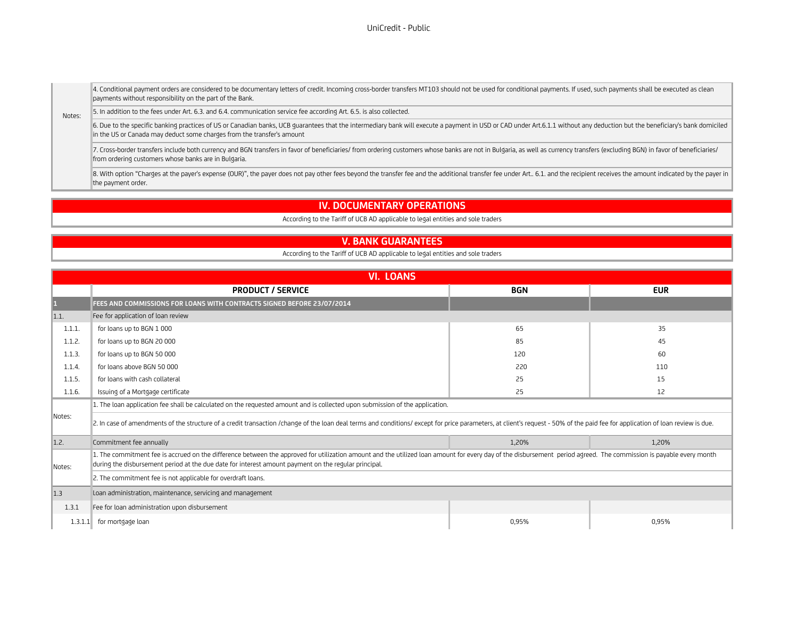UniCredit - Public#

4. Conditional payment orders are considered to be documentary letters of credit. Incoming cross-border transfers MT103 should not be used for conditional payments. If used, such payments shall be executed as clean payments without responsibility on the part of the Bank.

Notes: 5. In addition to the fees under Art. 6.3. and 6.4. communication service fee according Art. 6.5. is also collected.

6. Due to the specific banking practices of US or Canadian banks, UCB guarantees that the intermediary bank will execute a payment in USD or CAD under Art.6.1.1 without any deduction but the beneficiary's bank domiciled in the US or Canada may deduct some charges from the transfer's amount

7. Cross-border transfers include both currency and BGN transfers in favor of beneficiaries/ from ordering customers whose banks are not in Bulgaria, as well as currency transfers (excluding BGN) in favor of beneficiaries/ from ordering customers whose banks are in Bulgaria.

8. With option "Charges at the payer's expense (OUR)", the payer does not pay other fees beyond the transfer fee and the additional transfer fee under Art.. 6.1. and the recipient receives the amount indicated by the payer the payment order.

## **IV. DOCUMENTARY OPERATIONS**

According to the Tariff of UCB AD applicable to legal entities and sole traders

#### **V. BANK GUARANTEES**

According to the Tariff of UCB AD applicable to legal entities and sole traders

|        | <b>VI. LOANS</b>                                                                                                                                                                                                                                                                                                           |            |            |
|--------|----------------------------------------------------------------------------------------------------------------------------------------------------------------------------------------------------------------------------------------------------------------------------------------------------------------------------|------------|------------|
|        | <b>PRODUCT / SERVICE</b>                                                                                                                                                                                                                                                                                                   | <b>BGN</b> | <b>EUR</b> |
|        | FEES AND COMMISSIONS FOR LOANS WITH CONTRACTS SIGNED BEFORE 23/07/2014                                                                                                                                                                                                                                                     |            |            |
| 1.1.   | Fee for application of loan review                                                                                                                                                                                                                                                                                         |            |            |
| 1.1.1. | for loans up to BGN 1 000                                                                                                                                                                                                                                                                                                  | 65         | 35         |
| 1.1.2. | for loans up to BGN 20 000                                                                                                                                                                                                                                                                                                 | 85         | 45         |
| 1.1.3. | for loans up to BGN 50 000                                                                                                                                                                                                                                                                                                 | 120        | 60         |
| 1.1.4. | for loans above BGN 50 000                                                                                                                                                                                                                                                                                                 | 220        | 110        |
| 1.1.5. | for loans with cash collateral                                                                                                                                                                                                                                                                                             | 25         | 15         |
| 1.1.6. | Issuing of a Mortgage certificate                                                                                                                                                                                                                                                                                          | 25         | 12         |
|        | 1. The loan application fee shall be calculated on the requested amount and is collected upon submission of the application.                                                                                                                                                                                               |            |            |
| Notes: | 2. In case of amendments of the structure of a credit transaction /change of the loan deal terms and conditions/ except for price parameters, at client's request - 50% of the paid fee for application of loan review is due.                                                                                             |            |            |
| 1.2.   | Commitment fee annually                                                                                                                                                                                                                                                                                                    | 1,20%      | 1,20%      |
| Notes: | 1. The commitment fee is accrued on the difference between the approved for utilization amount and the utilized loan amount for every day of the disbursement period agreed. The commission is payable every month<br>during the disbursement period at the due date for interest amount payment on the regular principal. |            |            |
|        | 2. The commitment fee is not applicable for overdraft loans.                                                                                                                                                                                                                                                               |            |            |
| 1.3    | Loan administration, maintenance, servicing and management                                                                                                                                                                                                                                                                 |            |            |
| 1.3.1  | Fee for loan administration upon disbursement                                                                                                                                                                                                                                                                              |            |            |
|        | 1.3.1.1 for mortgage loan                                                                                                                                                                                                                                                                                                  | 0,95%      | 0,95%      |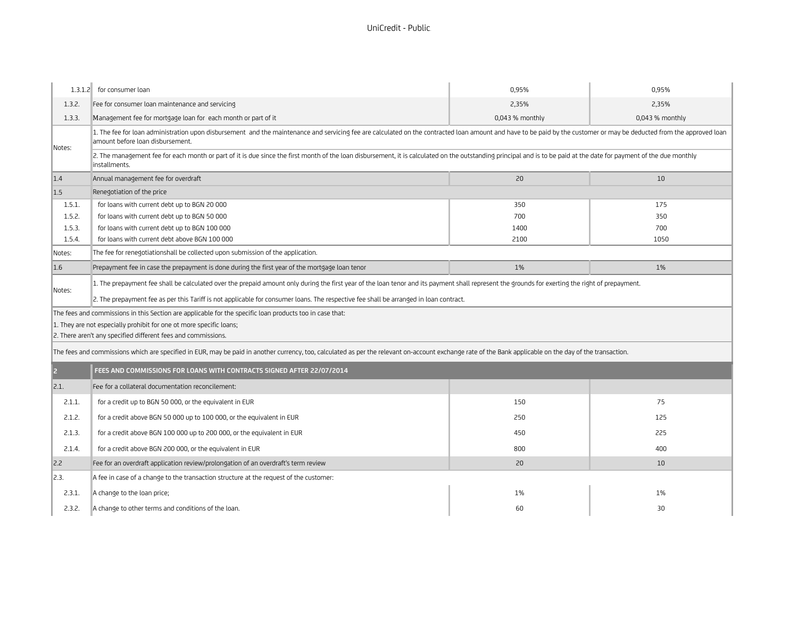|                                                                     | 1.3.1.2 for consumer loan                                                                                                                                                                                                                                                                                                                 | 0,95%           | 0.95%           |
|---------------------------------------------------------------------|-------------------------------------------------------------------------------------------------------------------------------------------------------------------------------------------------------------------------------------------------------------------------------------------------------------------------------------------|-----------------|-----------------|
| 1.3.2.                                                              | Fee for consumer loan maintenance and servicing                                                                                                                                                                                                                                                                                           | 2,35%           | 2.35%           |
| 1.3.3.                                                              | Management fee for mortgage loan for each month or part of it                                                                                                                                                                                                                                                                             | 0,043 % monthly | 0,043 % monthly |
| Notes:                                                              | 1. The fee for loan administration upon disbursement and the maintenance and servicing fee are calculated on the contracted loan amount and have to be paid by the customer or may be deducted from the approved loan<br>amount before loan disbursement.                                                                                 |                 |                 |
|                                                                     | 2. The management fee for each month or part of it is due since the first month of the loan disbursement, it is calculated on the outstanding principal and is to be paid at the date for payment of the due monthly<br>installments.                                                                                                     |                 |                 |
| 1.4                                                                 | Annual management fee for overdraft                                                                                                                                                                                                                                                                                                       | 20              | 10              |
| 1.5                                                                 | Renegotiation of the price                                                                                                                                                                                                                                                                                                                |                 |                 |
| 1.5.1.                                                              | for loans with current debt up to BGN 20 000                                                                                                                                                                                                                                                                                              | 350             | 175             |
| 1.5.2.                                                              | for loans with current debt up to BGN 50 000                                                                                                                                                                                                                                                                                              | 700             | 350             |
| 1.5.3.                                                              | for loans with current debt up to BGN 100 000                                                                                                                                                                                                                                                                                             | 1400            | 700             |
| 1.5.4.                                                              | for loans with current debt above BGN 100 000                                                                                                                                                                                                                                                                                             | 2100            | 1050            |
| Notes:                                                              | The fee for renegotiationshall be collected upon submission of the application.                                                                                                                                                                                                                                                           |                 |                 |
| 1.6                                                                 | Prepayment fee in case the prepayment is done during the first year of the mortgage loan tenor                                                                                                                                                                                                                                            | 1%              | 1%              |
| Notes:                                                              | 1. The prepayment fee shall be calculated over the prepaid amount only during the first year of the loan tenor and its payment shall represent the grounds for exerting the right of prepayment.<br>2. The prepayment fee as per this Tariff is not applicable for consumer loans. The respective fee shall be arranged in loan contract. |                 |                 |
|                                                                     | The fees and commissions in this Section are applicable for the specific loan products too in case that:                                                                                                                                                                                                                                  |                 |                 |
| 1. They are not especially prohibit for one ot more specific loans; |                                                                                                                                                                                                                                                                                                                                           |                 |                 |
|                                                                     | 2. There aren't any specified different fees and commissions.                                                                                                                                                                                                                                                                             |                 |                 |
|                                                                     | The fees and commissions which are specified in EUR, may be paid in another currency, too, calculated as per the relevant on-account exchange rate of the Bank applicable on the day of the transaction.                                                                                                                                  |                 |                 |
| 2                                                                   | FEES AND COMMISSIONS FOR LOANS WITH CONTRACTS SIGNED AFTER 22/07/2014                                                                                                                                                                                                                                                                     |                 |                 |
| 2.1.                                                                | Fee for a collateral documentation reconcilement:                                                                                                                                                                                                                                                                                         |                 |                 |
| 2.1.1.                                                              | for a credit up to BGN 50 000, or the equivalent in EUR                                                                                                                                                                                                                                                                                   | 150             | 75              |
| 2.1.2.                                                              | for a credit above BGN 50 000 up to 100 000, or the equivalent in EUR                                                                                                                                                                                                                                                                     | 250             | 125             |
| 2.1.3.                                                              | for a credit above BGN 100 000 up to 200 000, or the equivalent in EUR                                                                                                                                                                                                                                                                    | 450             | 225             |
| 2.1.4.                                                              | for a credit above BGN 200 000, or the equivalent in EUR                                                                                                                                                                                                                                                                                  | 800             | 400             |
| 2.2                                                                 | Fee for an overdraft application review/prolongation of an overdraft's term review                                                                                                                                                                                                                                                        | 20              | 10              |
| 2.3.                                                                | A fee in case of a change to the transaction structure at the request of the customer:                                                                                                                                                                                                                                                    |                 |                 |
| 2.3.1.                                                              | A change to the loan price;                                                                                                                                                                                                                                                                                                               | 1%              | 1%              |
| 2.3.2.                                                              | A change to other terms and conditions of the loan.                                                                                                                                                                                                                                                                                       | 60              | 30              |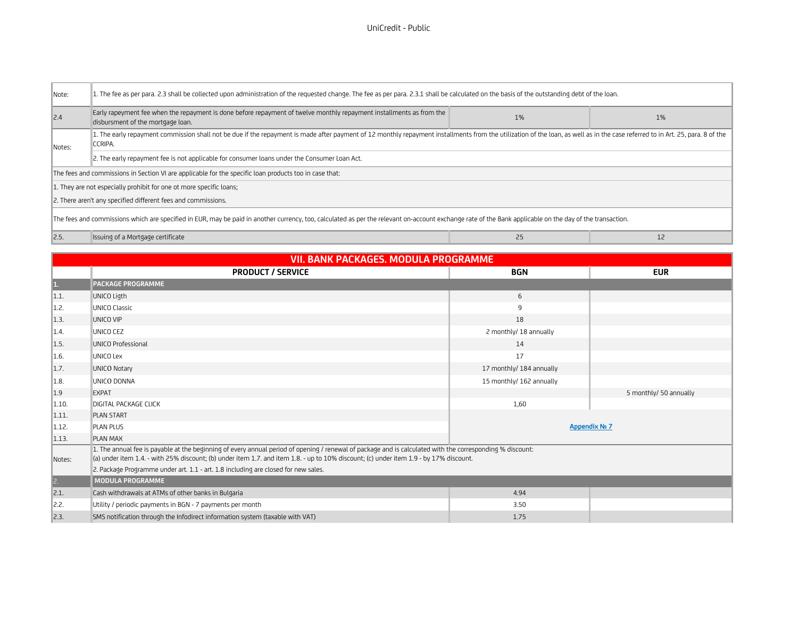| Note:                                                                                                                                                                                                    | 1. The fee as per para. 2.3 shall be collected upon administration of the requested change. The fee as per para. 2.3.1 shall be calculated on the basis of the outstanding debt of the loan.                                              |    |       |
|----------------------------------------------------------------------------------------------------------------------------------------------------------------------------------------------------------|-------------------------------------------------------------------------------------------------------------------------------------------------------------------------------------------------------------------------------------------|----|-------|
| 2.4                                                                                                                                                                                                      | Early rapeyment fee when the repayment is done before repayment of twelve monthly repayment installments as from the<br>disbursment of the mortgage loan.                                                                                 | 1% | $1\%$ |
| Notes:                                                                                                                                                                                                   | 1. The early repayment commission shall not be due if the repayment is made after payment of 12 monthly repayment installments from the utilization of the loan, as well as in the case referred to in Art. 25, para. 8 of the<br>CCRIPA. |    |       |
|                                                                                                                                                                                                          | 2. The early repayment fee is not applicable for consumer loans under the Consumer Loan Act.                                                                                                                                              |    |       |
| The fees and commissions in Section VI are applicable for the specific loan products too in case that:                                                                                                   |                                                                                                                                                                                                                                           |    |       |
| 1. They are not especially prohibit for one ot more specific loans;                                                                                                                                      |                                                                                                                                                                                                                                           |    |       |
| 2. There aren't any specified different fees and commissions.                                                                                                                                            |                                                                                                                                                                                                                                           |    |       |
| The fees and commissions which are specified in EUR, may be paid in another currency, too, calculated as per the relevant on-account exchange rate of the Bank applicable on the day of the transaction. |                                                                                                                                                                                                                                           |    |       |
| 2.5                                                                                                                                                                                                      | Issuing of a Mortgage certificate                                                                                                                                                                                                         | 25 |       |

|              | <b>VII. BANK PACKAGES. MODULA PROGRAMME</b>                                                                                                                                                                                                                                                         |                          |                        |
|--------------|-----------------------------------------------------------------------------------------------------------------------------------------------------------------------------------------------------------------------------------------------------------------------------------------------------|--------------------------|------------------------|
|              | <b>PRODUCT / SERVICE</b>                                                                                                                                                                                                                                                                            | <b>BGN</b>               | <b>EUR</b>             |
| 1.           | <b>PACKAGE PROGRAMME</b>                                                                                                                                                                                                                                                                            |                          |                        |
| 1.1.         | UNICO Ligth                                                                                                                                                                                                                                                                                         | 6                        |                        |
| 1.2.         | UNICO Classic                                                                                                                                                                                                                                                                                       | 9                        |                        |
| 1.3.         | UNICO VIP                                                                                                                                                                                                                                                                                           | 18                       |                        |
| 1.4          | UNICO CEZ                                                                                                                                                                                                                                                                                           | 2 monthly/ 18 annually   |                        |
| 1.5.         | UNICO Professional                                                                                                                                                                                                                                                                                  | 14                       |                        |
| 1.6.         | UNICO Lex                                                                                                                                                                                                                                                                                           | 17                       |                        |
| 1.7.         | <b>UNICO Notary</b>                                                                                                                                                                                                                                                                                 | 17 monthly/ 184 annually |                        |
| 1.8.         | UNICO DONNA                                                                                                                                                                                                                                                                                         | 15 monthly/ 162 annually |                        |
| 1.9          | EXPAT                                                                                                                                                                                                                                                                                               |                          | 5 monthly/ 50 annually |
| 1.10.        | <b>DIGITAL PACKAGE CLICK</b>                                                                                                                                                                                                                                                                        | 1,60                     |                        |
| 1.11         | <b>PLAN START</b>                                                                                                                                                                                                                                                                                   |                          |                        |
| 1.12.        | <b>PLAN PLUS</b>                                                                                                                                                                                                                                                                                    |                          | <b>Appendix Nº 7</b>   |
| 1.13.        | <b>PLAN MAX</b>                                                                                                                                                                                                                                                                                     |                          |                        |
| Notes:       | 1. The annual fee is payable at the beginning of every annual period of opening / renewal of package and is calculated with the corresponding % discount:<br>(a) under item 1.4. - with 25% discount; (b) under item 1.7. and item 1.8. - up to 10% discount; (c) under item 1.9 - by 17% discount. |                          |                        |
|              | 2. Package Programme under art. 1.1 - art. 1.8 including are closed for new sales.                                                                                                                                                                                                                  |                          |                        |
| $\mathbb{R}$ | MODULA PROGRAMME                                                                                                                                                                                                                                                                                    |                          |                        |
| 2.1.         | Cash withdrawals at ATMs of other banks in Bulgaria                                                                                                                                                                                                                                                 | 4.94                     |                        |
| 2.2.         | Utility / periodic payments in BGN - 7 payments per month                                                                                                                                                                                                                                           | 3.50                     |                        |
| $\vert$ 2.3. | SMS notification through the Infodirect information system (taxable with VAT)                                                                                                                                                                                                                       | 1.75                     |                        |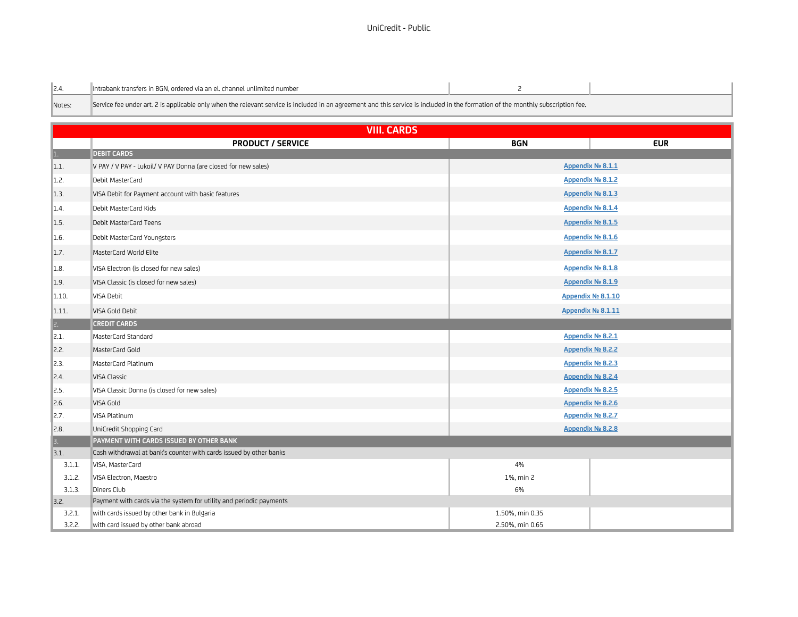| $\ 2.4.$ | lntrabank transfers in BGN, ordered via an el, channel unlimited number                                                                                                          |  |
|----------|----------------------------------------------------------------------------------------------------------------------------------------------------------------------------------|--|
| Notes:   | Service fee under art, 2 is applicable only when the relevant service is included in an agreement and this service is included in the formation of the monthly subscription fee. |  |

|                    | <b>VIII. CARDS</b>                                                  |                    |                   |  |
|--------------------|---------------------------------------------------------------------|--------------------|-------------------|--|
|                    | <b>PRODUCT / SERVICE</b>                                            | <b>BGN</b>         | <b>EUR</b>        |  |
| $\vert$ 1.         | <b>DEBIT CARDS</b>                                                  |                    |                   |  |
| 1.1.               | V PAY / V PAY - Lukoil/ V PAY Donna (are closed for new sales)      |                    | Appendix Nº 8.1.1 |  |
| 1.2.               | Debit MasterCard                                                    |                    | Appendix Nº 8.1.2 |  |
| 1.3.               | VISA Debit for Payment account with basic features                  |                    | Appendix Nº 8.1.3 |  |
| $\ 1.4.$           | Debit MasterCard Kids                                               |                    | Appendix Nº 8.1.4 |  |
| 1.5.               | Debit MasterCard Teens                                              |                    | Appendix № 8.1.5  |  |
| 1.6.               | Debit MasterCard Youngsters                                         |                    | Appendix Nº 8.1.6 |  |
| $\vert 1.7. \vert$ | MasterCard World Elite                                              |                    | Appendix № 8.1.7  |  |
| 1.8.               | VISA Electron (is closed for new sales)                             |                    | Appendix Nº 8.1.8 |  |
| 1.9.               | VISA Classic (is closed for new sales)                              |                    | Appendix Nº 8.1.9 |  |
| 1.10.              | VISA Debit                                                          | Appendix № 8.1.10  |                   |  |
| 1.11.              | VISA Gold Debit                                                     | Appendix Nº 8.1.11 |                   |  |
| $\vert$ 2.         | <b>CREDIT CARDS</b>                                                 |                    |                   |  |
| 2.1.               | MasterCard Standard                                                 |                    | Appendix Nº 8.2.1 |  |
| 2.2.               | MasterCard Gold                                                     | Appendix Nº 8.2.2  |                   |  |
| $\parallel$ 2.3.   | MasterCard Platinum                                                 | Appendix No 8.2.3  |                   |  |
| $\mathbb{Z}$ .4.   | VISA Classic                                                        | Appendix Nº 8.2.4  |                   |  |
| $\vert$ 2.5.       | VISA Classic Donna (is closed for new sales)                        | Appendix Nº 8.2.5  |                   |  |
| $\vert$ 2.6.       | VISA Gold                                                           |                    | Appendix Nº 8.2.6 |  |
| $\mathbb{Z}$ .7.   | VISA Platinum                                                       | Appendix No 8.2.7  |                   |  |
| $\vert$ 2.8.       | UniCredit Shopping Card                                             |                    | Appendix Nº 8.2.8 |  |
| 3.                 | PAYMENT WITH CARDS ISSUED BY OTHER BANK                             |                    |                   |  |
| 3.1.               | Cash withdrawal at bank's counter with cards issued by other banks  |                    |                   |  |
| 3.1.1.             | VISA, MasterCard                                                    | 4%                 |                   |  |
| 3.1.2.             | VISA Electron, Maestro                                              | 1%, min 2          |                   |  |
| 3.1.3.             | Diners Club                                                         | 6%                 |                   |  |
| 3.2.               | Payment with cards via the system for utility and periodic payments |                    |                   |  |
| 3.2.1.             | with cards issued by other bank in Bulgaria                         | 1.50%, min 0.35    |                   |  |
| 3.2.2.             | with card issued by other bank abroad                               | 2.50%, min 0.65    |                   |  |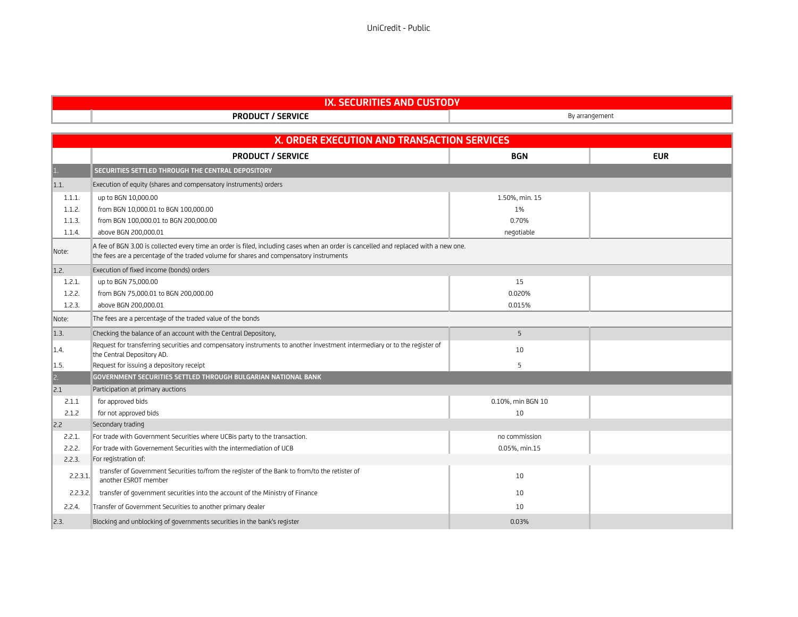### UniCredit - Public#

| <b>CUSTODY</b><br><br>ITIES AND.<br>w<br>LURI<br>711 |                             |            |
|------------------------------------------------------|-----------------------------|------------|
|                                                      | / SERVICE<br><b>PRODUCT</b> | rrangement |

|                  | X. ORDER EXECUTION AND TRANSACTION SERVICES                                                                                                                                                                                    |                   |            |
|------------------|--------------------------------------------------------------------------------------------------------------------------------------------------------------------------------------------------------------------------------|-------------------|------------|
|                  | <b>PRODUCT / SERVICE</b>                                                                                                                                                                                                       | <b>BGN</b>        | <b>EUR</b> |
| $\mathbf{1}$ .   | SECURITIES SETTLED THROUGH THE CENTRAL DEPOSITORY                                                                                                                                                                              |                   |            |
| 1.1.             | Execution of equity (shares and compensatory instruments) orders                                                                                                                                                               |                   |            |
| 1.1.1.           | up to BGN 10,000.00                                                                                                                                                                                                            | 1.50%, min. 15    |            |
| 1.1.2.           | from BGN 10,000.01 to BGN 100,000.00                                                                                                                                                                                           | 1%                |            |
| 1.1.3.           | from BGN 100,000.01 to BGN 200,000.00                                                                                                                                                                                          | 0.70%             |            |
| 1.1.4.           | above BGN 200.000.01                                                                                                                                                                                                           | negotiable        |            |
| Note:            | A fee of BGN 3.00 is collected every time an order is filed, including cases when an order is cancelled and replaced with a new one.<br>the fees are a percentage of the traded volume for shares and compensatory instruments |                   |            |
| 1.2.             | Execution of fixed income (bonds) orders                                                                                                                                                                                       |                   |            |
| 1.2.1.           | up to BGN 75,000.00                                                                                                                                                                                                            | 15                |            |
| 1.2.2.           | from BGN 75,000.01 to BGN 200,000.00                                                                                                                                                                                           | 0.020%            |            |
| 1.2.3.           | above BGN 200.000.01                                                                                                                                                                                                           | 0.015%            |            |
| Note:            | The fees are a percentage of the traded value of the bonds                                                                                                                                                                     |                   |            |
| $\vert$ 1.3.     | Checking the balance of an account with the Central Depository,                                                                                                                                                                | 5                 |            |
| $\parallel$ 1.4. | Request for transferring securities and compensatory instruments to another investment intermediary or to the register of<br>the Central Depository AD.                                                                        | 10                |            |
| $\ 1.5.$         | Request for issuing a depository receipt                                                                                                                                                                                       | 5                 |            |
| $ 2$ .           | GOVERNMENT SECURITIES SETTLED THROUGH BULGARIAN NATIONAL BANK                                                                                                                                                                  |                   |            |
| 2.1              | Participation at primary auctions                                                                                                                                                                                              |                   |            |
| 2.1.1            | for approved bids                                                                                                                                                                                                              | 0.10%, min BGN 10 |            |
| 2.1.2            | for not approved bids                                                                                                                                                                                                          | 10                |            |
| 2.2              | Secondary trading                                                                                                                                                                                                              |                   |            |
| 2.2.1.           | For trade with Government Securities where UCBis party to the transaction.                                                                                                                                                     | no commission     |            |
| 2.2.2.           | For trade with Governement Securities with the intermediation of UCB                                                                                                                                                           | 0.05%, min.15     |            |
| 2.2.3.           | For registration of:                                                                                                                                                                                                           |                   |            |
| 2.2.3.1          | transfer of Government Securities to/from the register of the Bank to from/to the retister of<br>another ESROT member                                                                                                          | 10                |            |
| 2.2.3.2.         | transfer of government securities into the account of the Ministry of Finance                                                                                                                                                  | 10                |            |
| 2.2.4.           | Transfer of Government Securities to another primary dealer                                                                                                                                                                    | 10                |            |
| $\vert$ 2.3.     | Blocking and unblocking of governments securities in the bank's register                                                                                                                                                       | 0.03%             |            |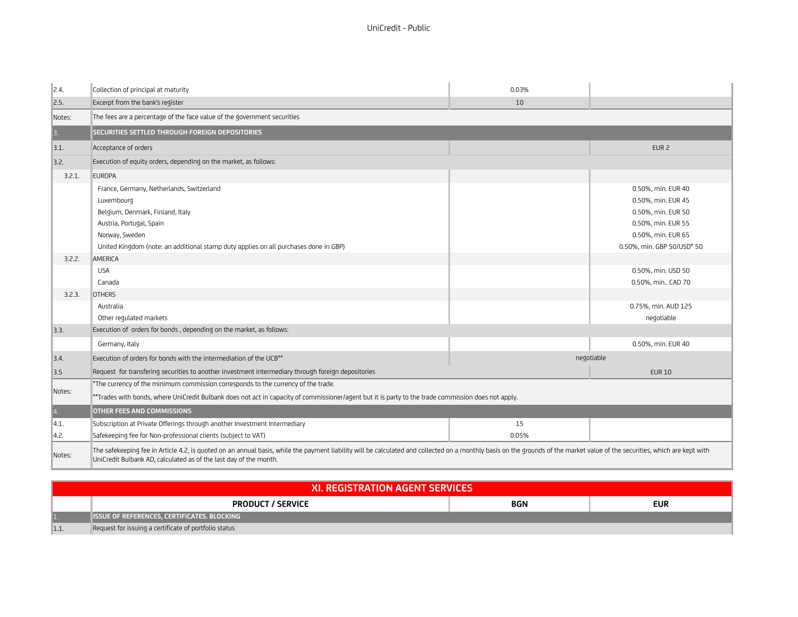| $\parallel$ 2.4. | Collection of principal at maturity                                                                                                                                                                                                                                                                                           | 0.03%       |                                                                                                                                                                                                                            |
|------------------|-------------------------------------------------------------------------------------------------------------------------------------------------------------------------------------------------------------------------------------------------------------------------------------------------------------------------------|-------------|----------------------------------------------------------------------------------------------------------------------------------------------------------------------------------------------------------------------------|
| $\vert$ 2.5.     | Excerpt from the bank's register                                                                                                                                                                                                                                                                                              | 10          |                                                                                                                                                                                                                            |
| Notes:           | The fees are a percentage of the face value of the government securities                                                                                                                                                                                                                                                      |             |                                                                                                                                                                                                                            |
| $\vert 3.$       | SECURITIES SETTLED THROUGH FOREIGN DEPOSITORIES                                                                                                                                                                                                                                                                               |             |                                                                                                                                                                                                                            |
| 3.1.             | Acceptance of orders                                                                                                                                                                                                                                                                                                          |             | EUR <sub>2</sub>                                                                                                                                                                                                           |
| 3.2.             | Execution of equity orders, depending on the market, as follows:                                                                                                                                                                                                                                                              |             |                                                                                                                                                                                                                            |
| 3.2.1.           | <b>EUROPA</b>                                                                                                                                                                                                                                                                                                                 |             |                                                                                                                                                                                                                            |
| 3.2.2.<br>3.2.3. | France, Germany, Netherlands, Switzerland<br>Luxembourg<br>Belgium, Denmark, Finland, Italy<br>Austria, Portugal, Spain<br>Norway, Sweden<br>United Kingdom (note: an additional stamp duty applies on all purchases done in GBP)<br>AMERICA<br><b>USA</b><br>Canada<br><b>OTHERS</b><br>Australia<br>Other requlated markets |             | 0.50%, min. EUR 40<br>0.50%, min. EUR 45<br>0.50%, min. EUR 50<br>0.50%, min. EUR 55<br>0.50%, min. EUR 65<br>0.50%, min. GBP 50/USD* 50<br>0.50%, min. USD 50<br>0.50%, min., CAD 70<br>0.75%, min. AUD 125<br>negotiable |
| 3.3.             | Execution of orders for bonds, depending on the market, as follows:                                                                                                                                                                                                                                                           |             |                                                                                                                                                                                                                            |
|                  | Germany, Italy                                                                                                                                                                                                                                                                                                                |             | 0.50%, min. EUR 40                                                                                                                                                                                                         |
| 3.4.             | Execution of orders for bonds with the intermediation of the UCB <sup>**</sup>                                                                                                                                                                                                                                                |             | negotiable                                                                                                                                                                                                                 |
| 3.5              | Request for transfering securities to another investment intermediary through foreign depositories                                                                                                                                                                                                                            |             | <b>EUR 10</b>                                                                                                                                                                                                              |
| Notes:           | *The currency of the minimum commission corresponds to the currency of the trade.<br>**Trades with bonds, where UniCredit Bulbank does not act in capacity of commissioner/agent but it is party to the trade commission does not apply.                                                                                      |             |                                                                                                                                                                                                                            |
| 4.               | OTHER FEES AND COMMISSIONS                                                                                                                                                                                                                                                                                                    |             |                                                                                                                                                                                                                            |
| 4.1.<br> 4.2.    | Subscription at Private Offerings through another Investment Intermediary<br>Safekeeping fee for Non-professional clients (subject to VAT)                                                                                                                                                                                    | 15<br>0.05% |                                                                                                                                                                                                                            |
| Notes:           | The safekeeping fee in Article 4.2, is quoted on an annual basis, while the payment liability will be calculated and collected on a monthly basis on the grounds of the market value of the securities, which are kept with<br>UniCredit Bulbank AD, calculated as of the last day of the month.                              |             |                                                                                                                                                                                                                            |

| <b>XI. REGISTRATION AGENT SERVICES</b> |                                                       |            |     |
|----------------------------------------|-------------------------------------------------------|------------|-----|
|                                        | <b>PRODUCT / SERVICE</b>                              | <b>BGN</b> | eur |
|                                        | <b>ISSUE OF REFERENCES, CERTIFICATES. BLOCKING</b>    |            |     |
| 1.1                                    | Request for issuing a certificate of portfolio status |            |     |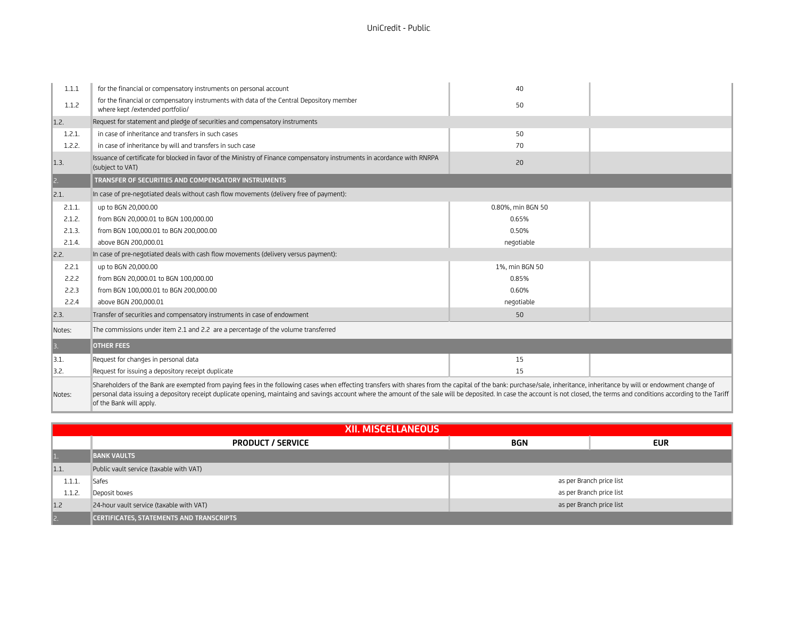| 1.1.1        | for the financial or compensatory instruments on personal account                                                                                                                                                                                                                                                                                                                                                                                         | 40                |  |
|--------------|-----------------------------------------------------------------------------------------------------------------------------------------------------------------------------------------------------------------------------------------------------------------------------------------------------------------------------------------------------------------------------------------------------------------------------------------------------------|-------------------|--|
| 1.1.2        | for the financial or compensatory instruments with data of the Central Depository member<br>where kept /extended portfolio/                                                                                                                                                                                                                                                                                                                               | 50                |  |
| 1.2.         | Request for statement and pledge of securities and compensatory instruments                                                                                                                                                                                                                                                                                                                                                                               |                   |  |
| 1.2.1.       | in case of inheritance and transfers in such cases                                                                                                                                                                                                                                                                                                                                                                                                        | 50                |  |
| 1.2.2.       | in case of inheritance by will and transfers in such case                                                                                                                                                                                                                                                                                                                                                                                                 | 70                |  |
| 1.3.         | Issuance of certificate for blocked in favor of the Ministry of Finance compensatory instruments in acordance with RNRPA<br>(subject to VAT)                                                                                                                                                                                                                                                                                                              | 20                |  |
| 2.           | TRANSFER OF SECURITIES AND COMPENSATORY INSTRUMENTS                                                                                                                                                                                                                                                                                                                                                                                                       |                   |  |
| 2.1.         | In case of pre-negotiated deals without cash flow movements (delivery free of payment):                                                                                                                                                                                                                                                                                                                                                                   |                   |  |
| 2.1.1.       | up to BGN 20,000.00                                                                                                                                                                                                                                                                                                                                                                                                                                       | 0.80%, min BGN 50 |  |
| 2.1.2.       | from BGN 20,000.01 to BGN 100,000.00                                                                                                                                                                                                                                                                                                                                                                                                                      | 0.65%             |  |
| 2.1.3.       | from BGN 100,000.01 to BGN 200,000.00                                                                                                                                                                                                                                                                                                                                                                                                                     | 0.50%             |  |
| 2.1.4.       | above BGN 200,000.01                                                                                                                                                                                                                                                                                                                                                                                                                                      | negotiable        |  |
| 2.2.         | In case of pre-negotiated deals with cash flow movements (delivery versus payment):                                                                                                                                                                                                                                                                                                                                                                       |                   |  |
| 2.2.1        | up to BGN 20,000.00                                                                                                                                                                                                                                                                                                                                                                                                                                       | 1%, min BGN 50    |  |
| 2.2.2        | from BGN 20,000.01 to BGN 100,000.00                                                                                                                                                                                                                                                                                                                                                                                                                      | 0.85%             |  |
| 2.2.3        | from BGN 100,000.01 to BGN 200,000.00                                                                                                                                                                                                                                                                                                                                                                                                                     | 0.60%             |  |
| 2.2.4        | above BGN 200,000.01                                                                                                                                                                                                                                                                                                                                                                                                                                      | negotiable        |  |
| $\vert$ 2.3. | Transfer of securities and compensatory instruments in case of endowment                                                                                                                                                                                                                                                                                                                                                                                  | 50                |  |
| Notes:       | The commissions under item 2.1 and 2.2 are a percentage of the volume transferred                                                                                                                                                                                                                                                                                                                                                                         |                   |  |
| 3.           | <b>OTHER FEES</b>                                                                                                                                                                                                                                                                                                                                                                                                                                         |                   |  |
| 13.1.        | Request for changes in personal data                                                                                                                                                                                                                                                                                                                                                                                                                      | 15                |  |
| 3.2.         | Request for issuing a depository receipt duplicate                                                                                                                                                                                                                                                                                                                                                                                                        | 15                |  |
| Notes:       | Shareholders of the Bank are exempted from paying fees in the following cases when effecting transfers with shares from the capital of the bank: purchase/sale, inheritance, inheritance by will or endowment change of<br>personal data issuing a depository receipt duplicate opening, maintaing and savings account where the amount of the sale will be deposited. In case the account is not closed, the terms and conditions according to the Tarif |                   |  |

of the Bank will apply.

|                    | <b>XII. MISCELLANEOUS</b>                       |                          |            |
|--------------------|-------------------------------------------------|--------------------------|------------|
|                    | <b>PRODUCT / SERVICE</b>                        | <b>BGN</b>               | <b>EUR</b> |
| $\parallel$ 1.     | <b>BANK VAULTS</b>                              |                          |            |
| $\vert 1.1. \vert$ | Public vault service (taxable with VAT)         |                          |            |
| 1.1.1.             | Safes                                           | as per Branch price list |            |
| 1.1.2.             | Deposit boxes                                   | as per Branch price list |            |
| 1.2                | 24-hour vault service (taxable with VAT)        | as per Branch price list |            |
| $\ 2.$             | <b>CERTIFICATES, STATEMENTS AND TRANSCRIPTS</b> |                          |            |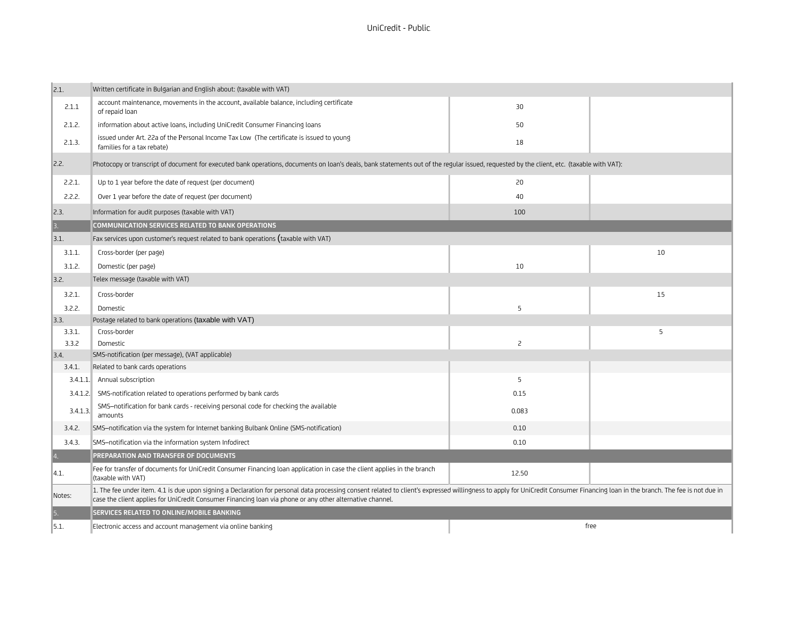| $\vert_{2.1.}$ | Written certificate in Bulgarian and English about: (taxable with VAT)                                                                                                                                                                                                                                                                      |                |      |
|----------------|---------------------------------------------------------------------------------------------------------------------------------------------------------------------------------------------------------------------------------------------------------------------------------------------------------------------------------------------|----------------|------|
| 2.1.1          | account maintenance, movements in the account, available balance, including certificate<br>of repaid loan                                                                                                                                                                                                                                   | 30             |      |
| 2.1.2.         | information about active loans, including UniCredit Consumer Financing loans                                                                                                                                                                                                                                                                | 50             |      |
| 2.1.3.         | issued under Art. 22a of the Personal Income Tax Low (The certificate is issued to young<br>families for a tax rebate)                                                                                                                                                                                                                      | 18             |      |
| 2.2.           | Photocopy or transcript of document for executed bank operations, documents on loan's deals, bank statements out of the reqular issued, requested by the client, etc. (taxable with VAT):                                                                                                                                                   |                |      |
| 2.2.1.         | Up to 1 year before the date of request (per document)                                                                                                                                                                                                                                                                                      | 20             |      |
| 2.2.2.         | Over 1 year before the date of request (per document)                                                                                                                                                                                                                                                                                       | 40             |      |
| $\vert$ 2.3.   | Information for audit purposes (taxable with VAT)                                                                                                                                                                                                                                                                                           | 100            |      |
| $\vert$ 3.     | COMMUNICATION SERVICES RELATED TO BANK OPERATIONS                                                                                                                                                                                                                                                                                           |                |      |
| 3.1.           | Fax services upon customer's request related to bank operations (taxable with VAT)                                                                                                                                                                                                                                                          |                |      |
| 3.1.1.         | Cross-border (per page)                                                                                                                                                                                                                                                                                                                     |                | 10   |
| 3.1.2.         | Domestic (per page)                                                                                                                                                                                                                                                                                                                         | 10             |      |
| 3.2.           | Telex message (taxable with VAT)                                                                                                                                                                                                                                                                                                            |                |      |
| 3.2.1.         | Cross-border                                                                                                                                                                                                                                                                                                                                |                | 15   |
| 3.2.2.         | Domestic                                                                                                                                                                                                                                                                                                                                    | 5              |      |
| $\vert$ 3.3.   | Postage related to bank operations (taxable with VAT)                                                                                                                                                                                                                                                                                       |                |      |
| 3.3.1.         | Cross-border                                                                                                                                                                                                                                                                                                                                |                | 5    |
| 3.3.2          | Domestic                                                                                                                                                                                                                                                                                                                                    | $\overline{c}$ |      |
| $\vert$ 3.4.   | SMS-notification (per message), (VAT applicable)                                                                                                                                                                                                                                                                                            |                |      |
| 3.4.1.         | Related to bank cards operations                                                                                                                                                                                                                                                                                                            |                |      |
|                | 3.4.1.1. Annual subscription                                                                                                                                                                                                                                                                                                                | 5              |      |
| 3.4.1.2.       | SMS-notification related to operations performed by bank cards                                                                                                                                                                                                                                                                              | 0.15           |      |
| 3.4.1.3.       | SMS-notification for bank cards - receiving personal code for checking the available<br>amounts                                                                                                                                                                                                                                             | 0.083          |      |
| 3.4.2.         | SMS-notification via the system for Internet banking Bulbank Online (SMS-notification)                                                                                                                                                                                                                                                      | 0.10           |      |
| 3.4.3.         | SMS-notification via the information system Infodirect                                                                                                                                                                                                                                                                                      | 0.10           |      |
| $\overline{4}$ | PREPARATION AND TRANSFER OF DOCUMENTS                                                                                                                                                                                                                                                                                                       |                |      |
| 14.1.          | Fee for transfer of documents for UniCredit Consumer Financing loan application in case the client applies in the branch<br>(taxable with VAT)                                                                                                                                                                                              | 12.50          |      |
| Notes:         | 1. The fee under item. 4.1 is due upon signing a Declaration for personal data processing consent related to client's expressed willingness to apply for UniCredit Consumer Financing loan in the branch. The fee is not due i<br>case the client applies for UniCredit Consumer Financing loan via phone or any other alternative channel. |                |      |
| $\vert$ 5.     | <b>SERVICES RELATED TO ONLINE/MOBILE BANKING</b>                                                                                                                                                                                                                                                                                            |                |      |
| 5.1.           | Electronic access and account management via online banking                                                                                                                                                                                                                                                                                 |                | free |